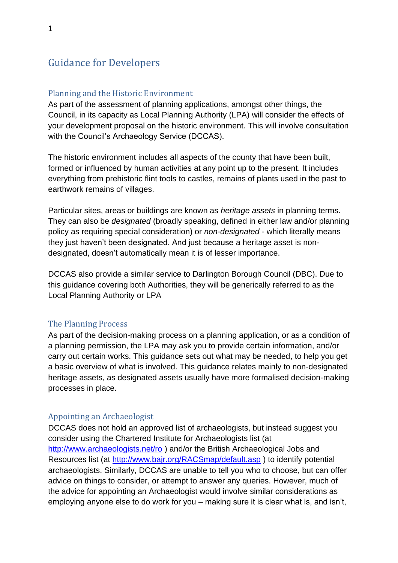# Guidance for Developers

### Planning and the Historic Environment

As part of the assessment of planning applications, amongst other things, the Council, in its capacity as Local Planning Authority (LPA) will consider the effects of your development proposal on the historic environment. This will involve consultation with the Council's Archaeology Service (DCCAS).

The historic environment includes all aspects of the county that have been built, formed or influenced by human activities at any point up to the present. It includes everything from prehistoric flint tools to castles, remains of plants used in the past to earthwork remains of villages.

Particular sites, areas or buildings are known as *heritage assets* in planning terms. They can also be *designated* (broadly speaking, defined in either law and/or planning policy as requiring special consideration) or *non-designated* - which literally means they just haven't been designated. And just because a heritage asset is nondesignated, doesn't automatically mean it is of lesser importance.

DCCAS also provide a similar service to Darlington Borough Council (DBC). Due to this guidance covering both Authorities, they will be generically referred to as the Local Planning Authority or LPA

#### The Planning Process

As part of the decision-making process on a planning application, or as a condition of a planning permission, the LPA may ask you to provide certain information, and/or carry out certain works. This guidance sets out what may be needed, to help you get a basic overview of what is involved. This guidance relates mainly to non-designated heritage assets, as designated assets usually have more formalised decision-making processes in place.

#### Appointing an Archaeologist

DCCAS does not hold an approved list of archaeologists, but instead suggest you consider using the Chartered Institute for Archaeologists list (at <http://www.archaeologists.net/ro> ) and/or the British Archaeological Jobs and Resources list (at<http://www.bajr.org/RACSmap/default.asp> ) to identify potential archaeologists. Similarly, DCCAS are unable to tell you who to choose, but can offer advice on things to consider, or attempt to answer any queries. However, much of the advice for appointing an Archaeologist would involve similar considerations as employing anyone else to do work for you – making sure it is clear what is, and isn't,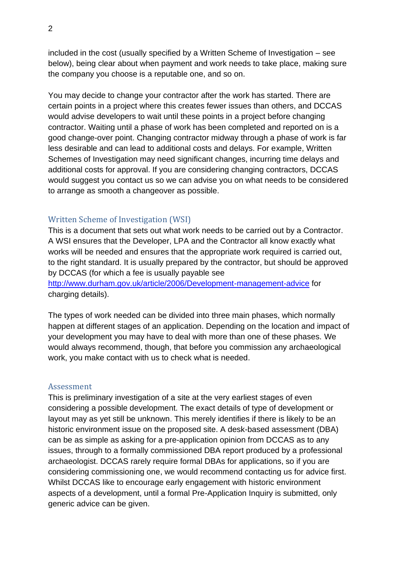included in the cost (usually specified by a Written Scheme of Investigation – see below), being clear about when payment and work needs to take place, making sure the company you choose is a reputable one, and so on.

You may decide to change your contractor after the work has started. There are certain points in a project where this creates fewer issues than others, and DCCAS would advise developers to wait until these points in a project before changing contractor. Waiting until a phase of work has been completed and reported on is a good change-over point. Changing contractor midway through a phase of work is far less desirable and can lead to additional costs and delays. For example, Written Schemes of Investigation may need significant changes, incurring time delays and additional costs for approval. If you are considering changing contractors, DCCAS would suggest you contact us so we can advise you on what needs to be considered to arrange as smooth a changeover as possible.

## Written Scheme of Investigation (WSI)

This is a document that sets out what work needs to be carried out by a Contractor. A WSI ensures that the Developer, LPA and the Contractor all know exactly what works will be needed and ensures that the appropriate work required is carried out, to the right standard. It is usually prepared by the contractor, but should be approved by DCCAS (for which a fee is usually payable see <http://www.durham.gov.uk/article/2006/Development-management-advice> for charging details).

The types of work needed can be divided into three main phases, which normally happen at different stages of an application. Depending on the location and impact of your development you may have to deal with more than one of these phases. We would always recommend, though, that before you commission any archaeological work, you make contact with us to check what is needed.

#### Assessment

This is preliminary investigation of a site at the very earliest stages of even considering a possible development. The exact details of type of development or layout may as yet still be unknown. This merely identifies if there is likely to be an historic environment issue on the proposed site. A desk-based assessment (DBA) can be as simple as asking for a pre-application opinion from DCCAS as to any issues, through to a formally commissioned DBA report produced by a professional archaeologist. DCCAS rarely require formal DBAs for applications, so if you are considering commissioning one, we would recommend contacting us for advice first. Whilst DCCAS like to encourage early engagement with historic environment aspects of a development, until a formal Pre-Application Inquiry is submitted, only generic advice can be given.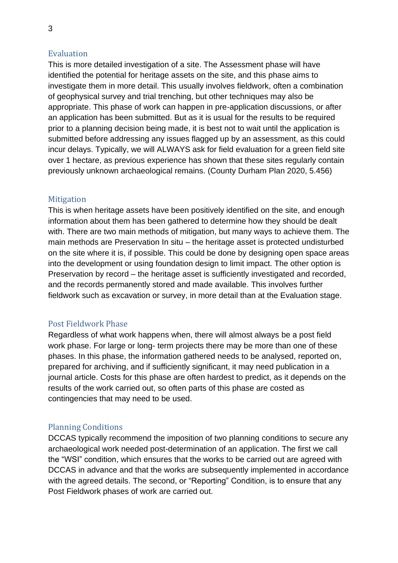## Evaluation

This is more detailed investigation of a site. The Assessment phase will have identified the potential for heritage assets on the site, and this phase aims to investigate them in more detail. This usually involves fieldwork, often a combination of geophysical survey and trial trenching, but other techniques may also be appropriate. This phase of work can happen in pre-application discussions, or after an application has been submitted. But as it is usual for the results to be required prior to a planning decision being made, it is best not to wait until the application is submitted before addressing any issues flagged up by an assessment, as this could incur delays. Typically, we will ALWAYS ask for field evaluation for a green field site over 1 hectare, as previous experience has shown that these sites regularly contain previously unknown archaeological remains. (County Durham Plan 2020, 5.456)

## **Mitigation**

This is when heritage assets have been positively identified on the site, and enough information about them has been gathered to determine how they should be dealt with. There are two main methods of mitigation, but many ways to achieve them. The main methods are Preservation In situ – the heritage asset is protected undisturbed on the site where it is, if possible. This could be done by designing open space areas into the development or using foundation design to limit impact. The other option is Preservation by record – the heritage asset is sufficiently investigated and recorded, and the records permanently stored and made available. This involves further fieldwork such as excavation or survey, in more detail than at the Evaluation stage.

## Post Fieldwork Phase

Regardless of what work happens when, there will almost always be a post field work phase. For large or long- term projects there may be more than one of these phases. In this phase, the information gathered needs to be analysed, reported on, prepared for archiving, and if sufficiently significant, it may need publication in a journal article. Costs for this phase are often hardest to predict, as it depends on the results of the work carried out, so often parts of this phase are costed as contingencies that may need to be used.

## Planning Conditions

DCCAS typically recommend the imposition of two planning conditions to secure any archaeological work needed post-determination of an application. The first we call the "WSI" condition, which ensures that the works to be carried out are agreed with DCCAS in advance and that the works are subsequently implemented in accordance with the agreed details. The second, or "Reporting" Condition, is to ensure that any Post Fieldwork phases of work are carried out.